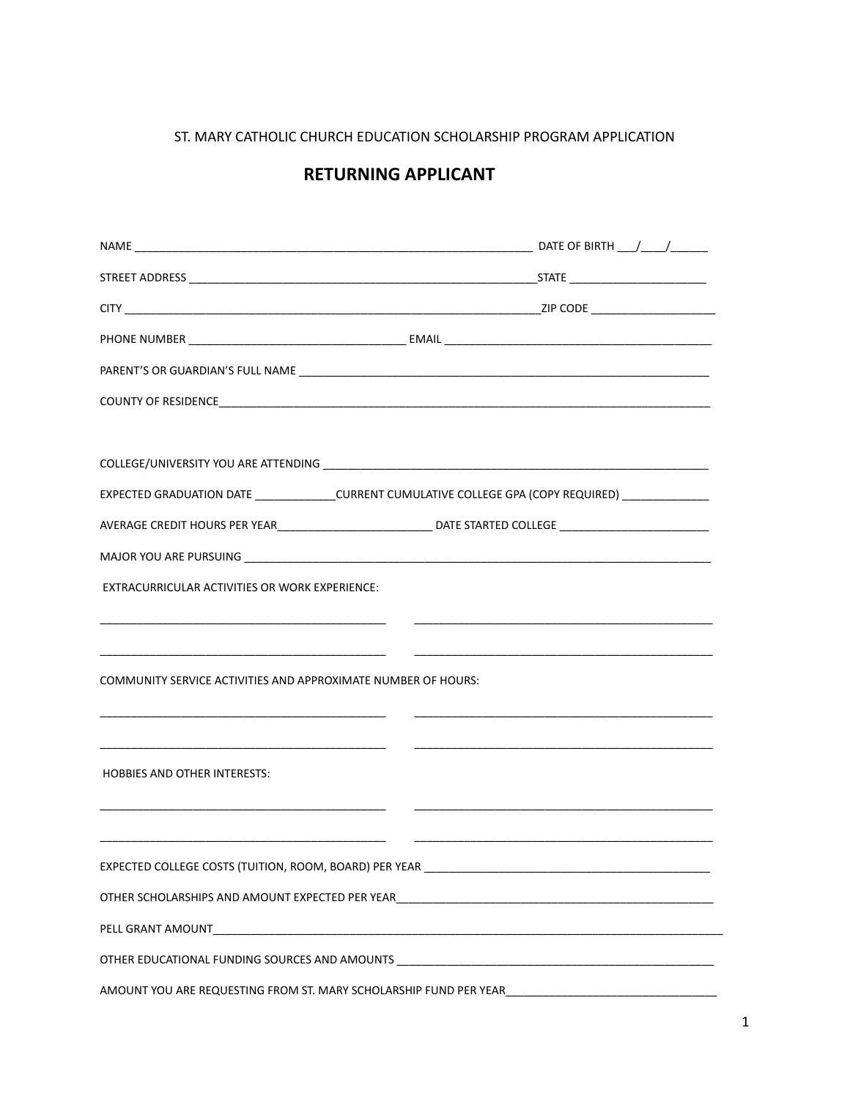ST. MARY CATHOLIC CHURCH EDUCATION SCHOLARSHIP PROGRAM APPLICATION

## **RETURNING APPLICANT**

| EXPECTED GRADUATION DATE _____________CURRENT CUMULATIVE COLLEGE GPA (COPY REQUIRED) ______________                  |                                                                                                                         |  |
|----------------------------------------------------------------------------------------------------------------------|-------------------------------------------------------------------------------------------------------------------------|--|
|                                                                                                                      |                                                                                                                         |  |
|                                                                                                                      |                                                                                                                         |  |
| EXTRACURRICULAR ACTIVITIES OR WORK EXPERIENCE:                                                                       |                                                                                                                         |  |
|                                                                                                                      |                                                                                                                         |  |
| <u> 1980 - Jan Barbarat, martin da shekara tshirilgan tshirilgan tshirilgan tshirilgan tshirilgan tshirilgan tsh</u> | <u> 1989 - Andrea Barbara, amerikan personal di sebagai personal di sebagai personal di sebagai personal di sebagai</u> |  |
| COMMUNITY SERVICE ACTIVITIES AND APPROXIMATE NUMBER OF HOURS:                                                        |                                                                                                                         |  |
|                                                                                                                      |                                                                                                                         |  |
|                                                                                                                      |                                                                                                                         |  |
| <b>HOBBIES AND OTHER INTERESTS:</b>                                                                                  |                                                                                                                         |  |
|                                                                                                                      |                                                                                                                         |  |
|                                                                                                                      |                                                                                                                         |  |
|                                                                                                                      |                                                                                                                         |  |
|                                                                                                                      |                                                                                                                         |  |
| PELL GRANT AMOUNT                                                                                                    |                                                                                                                         |  |
|                                                                                                                      |                                                                                                                         |  |
| AMOUNT YOU ARE REQUESTING FROM ST. MARY SCHOLARSHIP FUND PER YEAR___________________________________                 |                                                                                                                         |  |